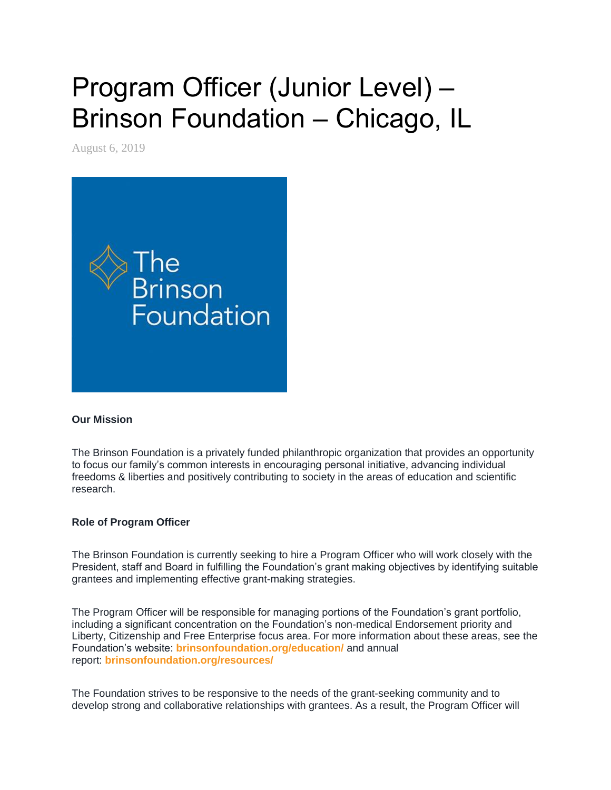# Program Officer (Junior Level) – Brinson Foundation – Chicago, IL

August 6, 2019



#### **Our Mission**

The Brinson Foundation is a privately funded philanthropic organization that provides an opportunity to focus our family's common interests in encouraging personal initiative, advancing individual freedoms & liberties and positively contributing to society in the areas of education and scientific research.

# **Role of Program Officer**

The Brinson Foundation is currently seeking to hire a Program Officer who will work closely with the President, staff and Board in fulfilling the Foundation's grant making objectives by identifying suitable grantees and implementing effective grant-making strategies.

The Program Officer will be responsible for managing portions of the Foundation's grant portfolio, including a significant concentration on the Foundation's non-medical Endorsement priority and Liberty, Citizenship and Free Enterprise focus area. For more information about these areas, see the Foundation's website: **[brinsonfoundation.org/education/](http://www.brinsonfoundation.org/education/)** and annual report: **[brinsonfoundation.org/resources/](http://www.brinsonfoundation.org/resources/)**

The Foundation strives to be responsive to the needs of the grant-seeking community and to develop strong and collaborative relationships with grantees. As a result, the Program Officer will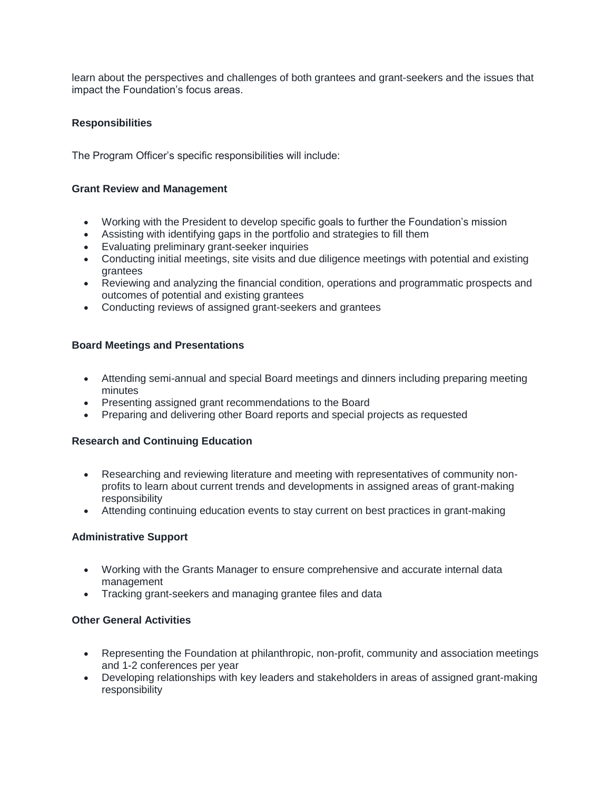learn about the perspectives and challenges of both grantees and grant-seekers and the issues that impact the Foundation's focus areas.

## **Responsibilities**

The Program Officer's specific responsibilities will include:

#### **Grant Review and Management**

- Working with the President to develop specific goals to further the Foundation's mission
- Assisting with identifying gaps in the portfolio and strategies to fill them
- Evaluating preliminary grant-seeker inquiries
- Conducting initial meetings, site visits and due diligence meetings with potential and existing grantees
- Reviewing and analyzing the financial condition, operations and programmatic prospects and outcomes of potential and existing grantees
- Conducting reviews of assigned grant-seekers and grantees

## **Board Meetings and Presentations**

- Attending semi-annual and special Board meetings and dinners including preparing meeting minutes
- Presenting assigned grant recommendations to the Board
- Preparing and delivering other Board reports and special projects as requested

#### **Research and Continuing Education**

- Researching and reviewing literature and meeting with representatives of community nonprofits to learn about current trends and developments in assigned areas of grant-making responsibility
- Attending continuing education events to stay current on best practices in grant-making

#### **Administrative Support**

- Working with the Grants Manager to ensure comprehensive and accurate internal data management
- Tracking grant-seekers and managing grantee files and data

# **Other General Activities**

- Representing the Foundation at philanthropic, non-profit, community and association meetings and 1-2 conferences per year
- Developing relationships with key leaders and stakeholders in areas of assigned grant-making responsibility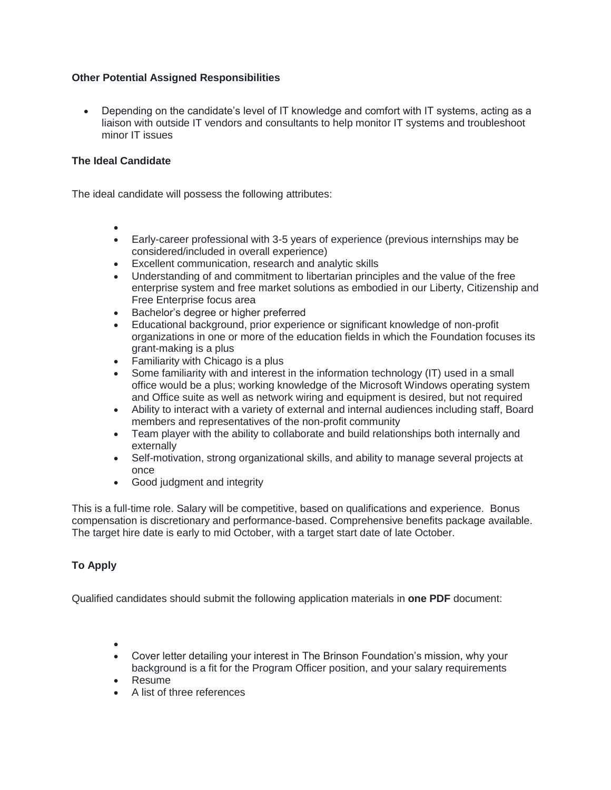## **Other Potential Assigned Responsibilities**

 Depending on the candidate's level of IT knowledge and comfort with IT systems, acting as a liaison with outside IT vendors and consultants to help monitor IT systems and troubleshoot minor IT issues

## **The Ideal Candidate**

The ideal candidate will possess the following attributes:

- $\bullet$
- Early-career professional with 3-5 years of experience (previous internships may be considered/included in overall experience)
- Excellent communication, research and analytic skills
- Understanding of and commitment to libertarian principles and the value of the free enterprise system and free market solutions as embodied in our Liberty, Citizenship and Free Enterprise focus area
- **Bachelor's degree or higher preferred**
- Educational background, prior experience or significant knowledge of non-profit organizations in one or more of the education fields in which the Foundation focuses its grant-making is a plus
- Familiarity with Chicago is a plus
- Some familiarity with and interest in the information technology (IT) used in a small office would be a plus; working knowledge of the Microsoft Windows operating system and Office suite as well as network wiring and equipment is desired, but not required
- Ability to interact with a variety of external and internal audiences including staff, Board members and representatives of the non-profit community
- Team player with the ability to collaborate and build relationships both internally and externally
- Self-motivation, strong organizational skills, and ability to manage several projects at once
- Good judgment and integrity

This is a full-time role. Salary will be competitive, based on qualifications and experience. Bonus compensation is discretionary and performance-based. Comprehensive benefits package available. The target hire date is early to mid October, with a target start date of late October.

# **To Apply**

Qualified candidates should submit the following application materials in **one PDF** document:

- $\bullet$
- Cover letter detailing your interest in The Brinson Foundation's mission, why your background is a fit for the Program Officer position, and your salary requirements
- Resume
- A list of three references